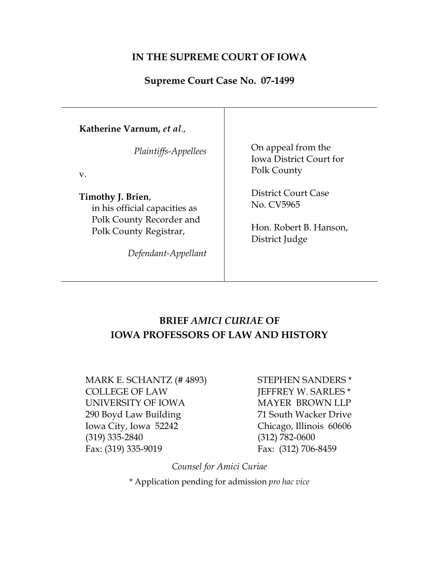## **IN THE SUPREME COURT OF IOWA**

## **Supreme Court Case No. 07-1499**

| Katherine Varnum, et al.,                                                      |                                                                     |
|--------------------------------------------------------------------------------|---------------------------------------------------------------------|
| Plaintiffs-Appellees<br>V.                                                     | On appeal from the<br><b>Iowa District Court for</b><br>Polk County |
| Timothy J. Brien,<br>in his official capacities as<br>Polk County Recorder and | District Court Case<br>No. CV5965                                   |
| Polk County Registrar,<br>Defendant-Appellant                                  | Hon. Robert B. Hanson,<br>District Judge                            |

# **BRIEF** *AMICI CURIAE* **OF IOWA PROFESSORS OF LAW AND HISTORY**

MARK E. SCHANTZ (# 4893) COLLEGE OF LAW UNIVERSITY OF IOWA 290 Boyd Law Building Iowa City, Iowa 52242 (319) 335-2840 Fax: (319) 335-9019

STEPHEN SANDERS \* JEFFREY W. SARLES \* MAYER BROWN LLP 71 South Wacker Drive Chicago, Illinois 60606 (312) 782-0600 Fax: (312) 706-8459

*Counsel for Amici Curiae*

\* Application pending for admission *pro hac vice*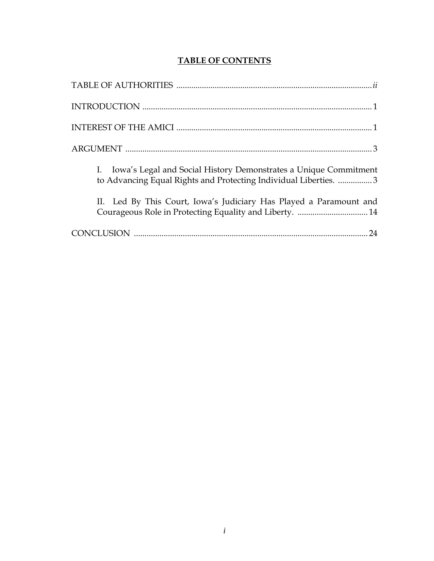# **TABLE OF CONTENTS**

| I. Iowa's Legal and Social History Demonstrates a Unique Commitment<br>to Advancing Equal Rights and Protecting Individual Liberties. 3 |
|-----------------------------------------------------------------------------------------------------------------------------------------|
| II. Led By This Court, Iowa's Judiciary Has Played a Paramount and<br>Courageous Role in Protecting Equality and Liberty.  14           |
|                                                                                                                                         |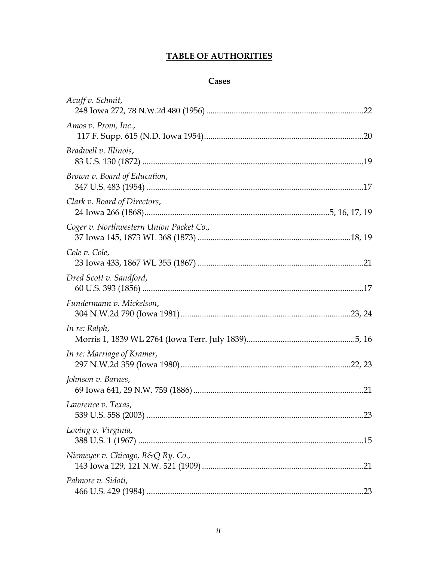## **TABLE OF AUTHORITIES**

## Cases

| Acuff v. Schmit,                        |  |
|-----------------------------------------|--|
| Amos v. Prom, Inc.,                     |  |
| Bradwell v. Illinois,                   |  |
| Brown v. Board of Education,            |  |
| Clark v. Board of Directors,            |  |
| Coger v. Northwestern Union Packet Co., |  |
| Cole v. Cole,                           |  |
| Dred Scott v. Sandford,                 |  |
| Fundermann v. Mickelson,                |  |
| In re: Ralph,                           |  |
| In re: Marriage of Kramer,              |  |
| Johnson v. Barnes,                      |  |
| Lawrence v. Texas,                      |  |
| Loving v. Virginia,                     |  |
| Niemeyer v. Chicago, B&Q Ry. Co.,       |  |
| Palmore v. Sidoti,                      |  |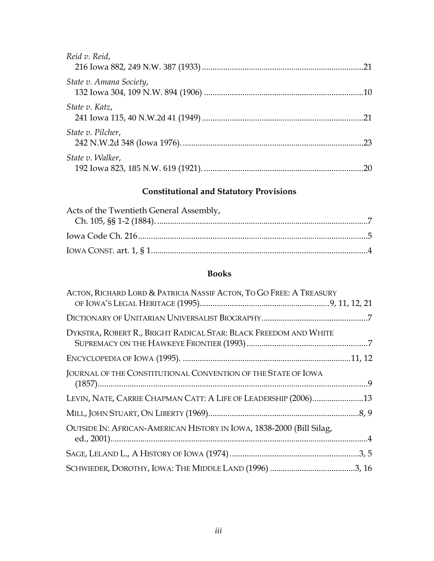| Reid v. Reid,           |    |
|-------------------------|----|
| State v. Amana Society, |    |
| State v. Katz,          |    |
| State v. Pilcher,       | 23 |
| State v. Walker,        |    |

# **Constitutional and Statutory Provisions**

| Acts of the Twentieth General Assembly, |  |
|-----------------------------------------|--|
|                                         |  |
|                                         |  |
|                                         |  |

## **Books**

| ACTON, RICHARD LORD & PATRICIA NASSIF ACTON, TO GO FREE: A TREASURY  |
|----------------------------------------------------------------------|
|                                                                      |
| DYKSTRA, ROBERT R., BRIGHT RADICAL STAR: BLACK FREEDOM AND WHITE     |
|                                                                      |
| JOURNAL OF THE CONSTITUTIONAL CONVENTION OF THE STATE OF IOWA        |
| LEVIN, NATE, CARRIE CHAPMAN CATT: A LIFE OF LEADERSHIP (2006)13      |
|                                                                      |
| OUTSIDE IN: AFRICAN-AMERICAN HISTORY IN IOWA, 1838-2000 (Bill Silag, |
|                                                                      |
|                                                                      |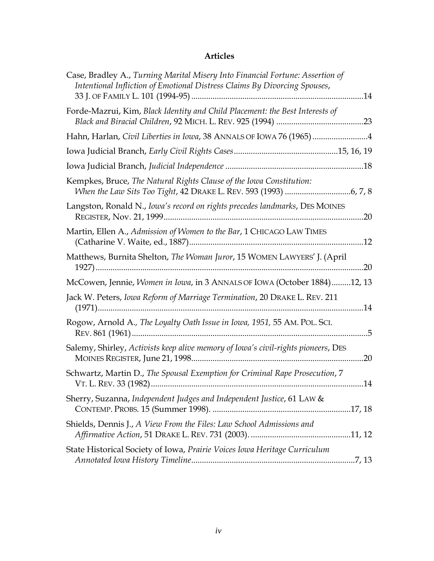# **Articles**

| Case, Bradley A., Turning Marital Misery Into Financial Fortune: Assertion of<br>Intentional Infliction of Emotional Distress Claims By Divorcing Spouses, |
|------------------------------------------------------------------------------------------------------------------------------------------------------------|
| Forde-Mazrui, Kim, Black Identity and Child Placement: the Best Interests of                                                                               |
| Hahn, Harlan, Civil Liberties in Iowa, 38 ANNALS OF IOWA 76 (1965) 4                                                                                       |
|                                                                                                                                                            |
|                                                                                                                                                            |
| Kempkes, Bruce, The Natural Rights Clause of the Iowa Constitution:                                                                                        |
| Langston, Ronald N., Iowa's record on rights precedes landmarks, DES MOINES                                                                                |
| Martin, Ellen A., Admission of Women to the Bar, 1 CHICAGO LAW TIMES                                                                                       |
| Matthews, Burnita Shelton, The Woman Juror, 15 WOMEN LAWYERS' J. (April                                                                                    |
| McCowen, Jennie, Women in Iowa, in 3 ANNALS OF IOWA (October 1884)12, 13                                                                                   |
| Jack W. Peters, Iowa Reform of Marriage Termination, 20 DRAKE L. REV. 211                                                                                  |
| Rogow, Arnold A., The Loyalty Oath Issue in Iowa, 1951, 55 AM. POL. SCI.                                                                                   |
| Salemy, Shirley, Activists keep alive memory of Iowa's civil-rights pioneers, DES                                                                          |
| Schwartz, Martin D., The Spousal Exemption for Criminal Rape Prosecution, 7                                                                                |
| Sherry, Suzanna, Independent Judges and Independent Justice, 61 LAW &                                                                                      |
| Shields, Dennis J., A View From the Files: Law School Admissions and                                                                                       |
| State Historical Society of Iowa, Prairie Voices Iowa Heritage Curriculum                                                                                  |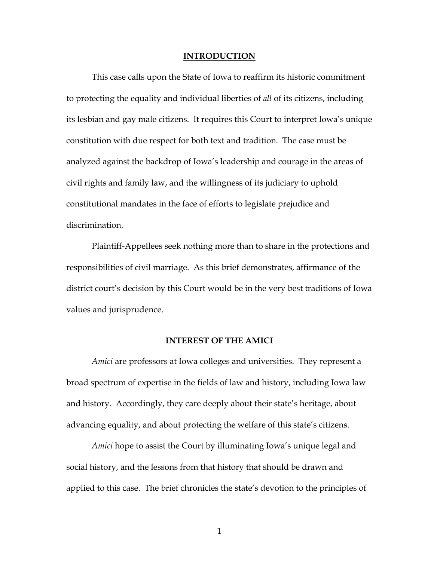#### **INTRODUCTION**

This case calls upon the State of Iowa to reaffirm its historic commitment to protecting the equality and individual liberties of *all* of its citizens, including its lesbian and gay male citizens. It requires this Court to interpret Iowa's unique constitution with due respect for both text and tradition. The case must be analyzed against the backdrop of Iowa's leadership and courage in the areas of civil rights and family law, and the willingness of its judiciary to uphold constitutional mandates in the face of efforts to legislate prejudice and discrimination.

Plaintiff-Appellees seek nothing more than to share in the protections and responsibilities of civil marriage. As this brief demonstrates, affirmance of the district court's decision by this Court would be in the very best traditions of Iowa values and jurisprudence.

#### **INTEREST OF THE AMICI**

*Amici* are professors at Iowa colleges and universities. They represent a broad spectrum of expertise in the fields of law and history, including Iowa law and history. Accordingly, they care deeply about their state's heritage, about advancing equality, and about protecting the welfare of this state's citizens.

*Amici* hope to assist the Court by illuminating Iowa's unique legal and social history, and the lessons from that history that should be drawn and applied to this case. The brief chronicles the state's devotion to the principles of

1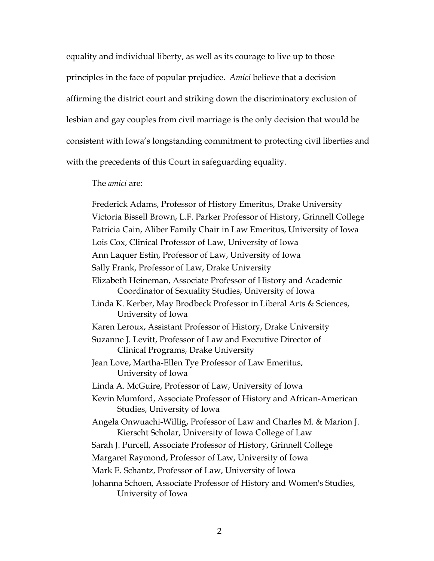equality and individual liberty, as well as its courage to live up to those principles in the face of popular prejudice. *Amici* believe that a decision affirming the district court and striking down the discriminatory exclusion of lesbian and gay couples from civil marriage is the only decision that would be consistent with Iowa's longstanding commitment to protecting civil liberties and with the precedents of this Court in safeguarding equality.

The *amici* are:

Frederick Adams, Professor of History Emeritus, Drake University Victoria Bissell Brown, L.F. Parker Professor of History, Grinnell College Patricia Cain, Aliber Family Chair in Law Emeritus, University of Iowa Lois Cox, Clinical Professor of Law, University of Iowa Ann Laquer Estin, Professor of Law, University of Iowa Sally Frank, Professor of Law, Drake University Elizabeth Heineman, Associate Professor of History and Academic Coordinator of Sexuality Studies, University of Iowa Linda K. Kerber, May Brodbeck Professor in Liberal Arts & Sciences, University of Iowa Karen Leroux, Assistant Professor of History, Drake University Suzanne J. Levitt, Professor of Law and Executive Director of Clinical Programs, Drake University Jean Love, Martha-Ellen Tye Professor of Law Emeritus, University of Iowa Linda A. McGuire, Professor of Law, University of Iowa Kevin Mumford, Associate Professor of History and African-American Studies, University of Iowa Angela Onwuachi-Willig, Professor of Law and Charles M. & Marion J. Kierscht Scholar, University of Iowa College of Law Sarah J. Purcell, Associate Professor of History, Grinnell College Margaret Raymond, Professor of Law, University of Iowa Mark E. Schantz, Professor of Law, University of Iowa Johanna Schoen, Associate Professor of History and Women's Studies, University of Iowa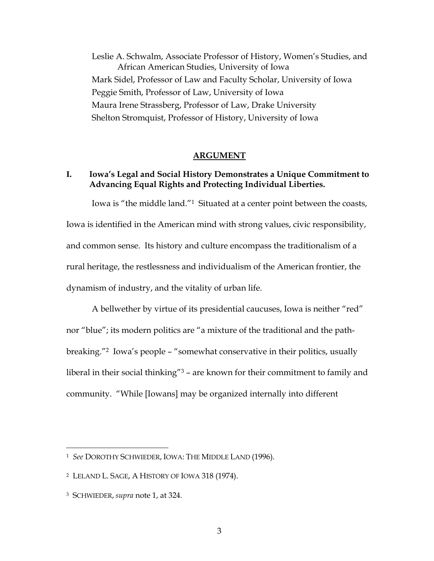Leslie A. Schwalm, Associate Professor of History, Women's Studies, and African American Studies, University of Iowa Mark Sidel, Professor of Law and Faculty Scholar, University of Iowa Peggie Smith, Professor of Law, University of Iowa Maura Irene Strassberg, Professor of Law, Drake University Shelton Stromquist, Professor of History, University of Iowa

#### **ARGUMENT**

### **I. Iowa's Legal and Social History Demonstrates a Unique Commitment to Advancing Equal Rights and Protecting Individual Liberties.**

Iowa is "the middle land."<sup>1</sup> Situated at a center point between the coasts,

Iowa is identified in the American mind with strong values, civic responsibility, and common sense. Its history and culture encompass the traditionalism of a rural heritage, the restlessness and individualism of the American frontier, the dynamism of industry, and the vitality of urban life.

A bellwether by virtue of its presidential caucuses, Iowa is neither "red" nor "blue"; its modern politics are "a mixture of the traditional and the pathbreaking."<sup>2</sup> Iowa's people – "somewhat conservative in their politics, usually liberal in their social thinking"<sup>3</sup> – are known for their commitment to family and community. "While [Iowans] may be organized internally into different

<sup>1</sup> *See* DOROTHY SCHWIEDER, IOWA: THE MIDDLE LAND (1996).

<sup>2</sup> LELAND L. SAGE, A HISTORY OF IOWA 318 (1974).

<sup>3</sup> SCHWIEDER, *supra* note 1, at 324.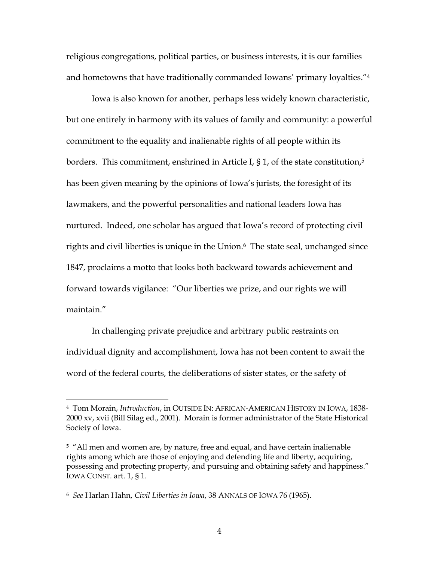religious congregations, political parties, or business interests, it is our families and hometowns that have traditionally commanded Iowans' primary loyalties."<sup>4</sup>

Iowa is also known for another, perhaps less widely known characteristic, but one entirely in harmony with its values of family and community: a powerful commitment to the equality and inalienable rights of all people within its borders. This commitment, enshrined in Article I,  $\S 1$ , of the state constitution,<sup>5</sup> has been given meaning by the opinions of Iowa's jurists, the foresight of its lawmakers, and the powerful personalities and national leaders Iowa has nurtured. Indeed, one scholar has argued that Iowa's record of protecting civil rights and civil liberties is unique in the Union.<sup>6</sup> The state seal, unchanged since 1847, proclaims a motto that looks both backward towards achievement and forward towards vigilance: "Our liberties we prize, and our rights we will maintain."

In challenging private prejudice and arbitrary public restraints on individual dignity and accomplishment, Iowa has not been content to await the word of the federal courts, the deliberations of sister states, or the safety of

<sup>4</sup> Tom Morain, *Introduction*, in OUTSIDE IN: AFRICAN-AMERICAN HISTORY IN IOWA, 1838- 2000 xv, xvii (Bill Silag ed., 2001). Morain is former administrator of the State Historical Society of Iowa.

<sup>&</sup>lt;sup>5</sup> "All men and women are, by nature, free and equal, and have certain inalienable rights among which are those of enjoying and defending life and liberty, acquiring, possessing and protecting property, and pursuing and obtaining safety and happiness." IOWA CONST. art. 1, § 1.

<sup>6</sup> *See* Harlan Hahn, *Civil Liberties in Iowa*, 38 ANNALS OF IOWA 76 (1965).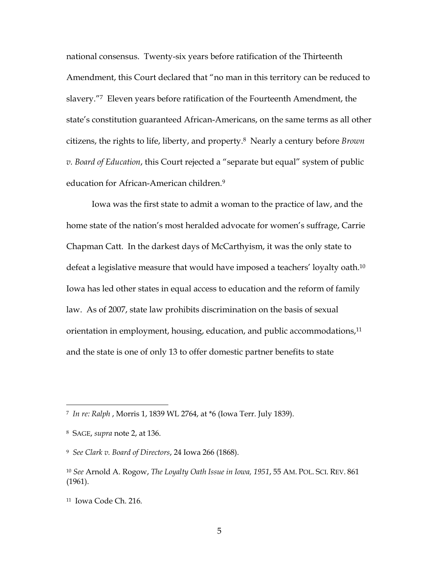national consensus. Twenty-six years before ratification of the Thirteenth Amendment, this Court declared that "no man in this territory can be reduced to slavery."<sup>7</sup> Eleven years before ratification of the Fourteenth Amendment, the state's constitution guaranteed African-Americans, on the same terms as all other citizens, the rights to life, liberty, and property.<sup>8</sup> Nearly a century before *Brown v. Board of Education*, this Court rejected a "separate but equal" system of public education for African-American children.<sup>9</sup>

Iowa was the first state to admit a woman to the practice of law, and the home state of the nation's most heralded advocate for women's suffrage, Carrie Chapman Catt. In the darkest days of McCarthyism, it was the only state to defeat a legislative measure that would have imposed a teachers' loyalty oath.<sup>10</sup> Iowa has led other states in equal access to education and the reform of family law. As of 2007, state law prohibits discrimination on the basis of sexual orientation in employment, housing, education, and public accommodations,<sup>11</sup> and the state is one of only 13 to offer domestic partner benefits to state

<sup>7</sup> *In re: Ralph* , Morris 1, 1839 WL 2764, at \*6 (Iowa Terr. July 1839).

<sup>8</sup> SAGE, *supra* note 2, at 136.

<sup>9</sup> *See Clark v. Board of Directors*, 24 Iowa 266 (1868).

<sup>10</sup> *See* Arnold A. Rogow, *The Loyalty Oath Issue in Iowa, 1951*, 55 AM. POL. SCI. REV. 861 (1961).

<sup>11</sup> Iowa Code Ch. 216.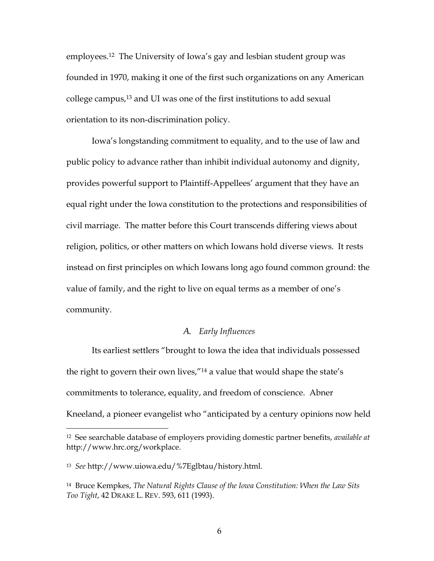employees.<sup>12</sup> The University of Iowa's gay and lesbian student group was founded in 1970, making it one of the first such organizations on any American college campus,<sup>13</sup> and UI was one of the first institutions to add sexual orientation to its non-discrimination policy.

Iowa's longstanding commitment to equality, and to the use of law and public policy to advance rather than inhibit individual autonomy and dignity, provides powerful support to Plaintiff-Appellees' argument that they have an equal right under the Iowa constitution to the protections and responsibilities of civil marriage. The matter before this Court transcends differing views about religion, politics, or other matters on which Iowans hold diverse views. It rests instead on first principles on which Iowans long ago found common ground: the value of family, and the right to live on equal terms as a member of one's community.

#### *A. Early Influences*

Its earliest settlers "brought to Iowa the idea that individuals possessed the right to govern their own lives,"<sup>14</sup> a value that would shape the state's commitments to tolerance, equality, and freedom of conscience. Abner Kneeland, a pioneer evangelist who "anticipated by a century opinions now held

<sup>12</sup> See searchable database of employers providing domestic partner benefits, *available at* http://www.hrc.org/workplace.

<sup>13</sup> *See* http://www.uiowa.edu/%7Eglbtau/history.html.

<sup>14</sup> Bruce Kempkes, *The Natural Rights Clause of the Iowa Constitution: When the Law Sits Too Tight*, 42 DRAKE L. REV. 593, 611 (1993).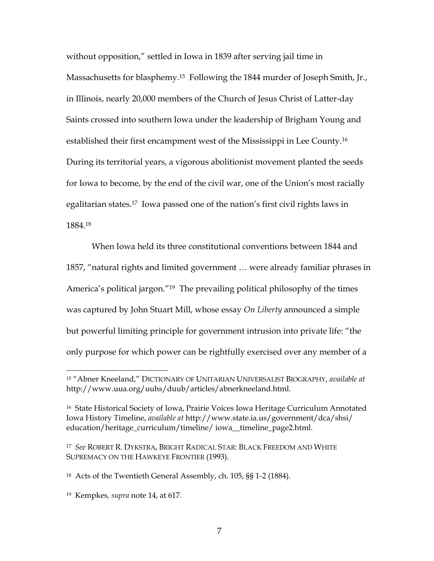without opposition," settled in Iowa in 1839 after serving jail time in Massachusetts for blasphemy.<sup>15</sup> Following the 1844 murder of Joseph Smith, Jr., in Illinois, nearly 20,000 members of the Church of Jesus Christ of Latter-day Saints crossed into southern Iowa under the leadership of Brigham Young and established their first encampment west of the Mississippi in Lee County.<sup>16</sup> During its territorial years, a vigorous abolitionist movement planted the seeds for Iowa to become, by the end of the civil war, one of the Union's most racially egalitarian states.<sup>17</sup> Iowa passed one of the nation's first civil rights laws in 1884.<sup>18</sup>

When Iowa held its three constitutional conventions between 1844 and 1857, "natural rights and limited government … were already familiar phrases in America's political jargon."<sup>19</sup> The prevailing political philosophy of the times was captured by John Stuart Mill, whose essay *On Liberty* announced a simple but powerful limiting principle for government intrusion into private life: "the only purpose for which power can be rightfully exercised over any member of a

<sup>15</sup> "Abner Kneeland," DICTIONARY OF UNITARIAN UNIVERSALIST BIOGRAPHY, *available at* http://www.uua.org/uuhs/duub/articles/abnerkneeland.html.

<sup>16</sup> State Historical Society of Iowa, Prairie Voices Iowa Heritage Curriculum Annotated Iowa History Timeline, *available at* http://www.state.ia.us/government/dca/shsi/ education/heritage\_curriculum/timeline/ iowa\_\_timeline\_page2.html.

<sup>17</sup> *See* ROBERT R. DYKSTRA, BRIGHT RADICAL STAR: BLACK FREEDOM AND WHITE SUPREMACY ON THE HAWKEYE FRONTIER (1993).

<sup>18</sup> Acts of the Twentieth General Assembly, ch. 105, §§ 1-2 (1884).

<sup>19</sup> Kempkes*, supra* note 14, at 617.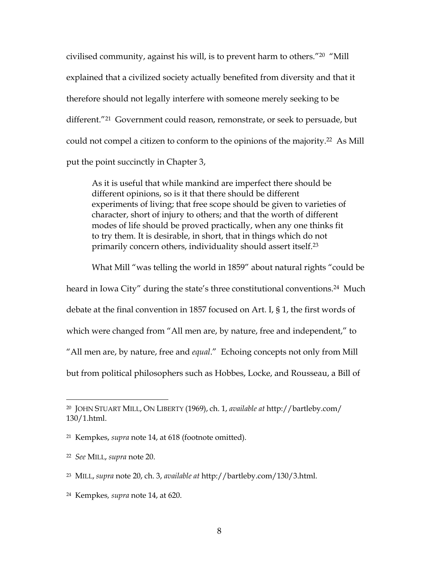civilised community, against his will, is to prevent harm to others."<sup>20</sup> "Mill explained that a civilized society actually benefited from diversity and that it therefore should not legally interfere with someone merely seeking to be different."<sup>21</sup> Government could reason, remonstrate, or seek to persuade, but could not compel a citizen to conform to the opinions of the majority.<sup>22</sup> As Mill put the point succinctly in Chapter 3,

As it is useful that while mankind are imperfect there should be different opinions, so is it that there should be different experiments of living; that free scope should be given to varieties of character, short of injury to others; and that the worth of different modes of life should be proved practically, when any one thinks fit to try them. It is desirable, in short, that in things which do not primarily concern others, individuality should assert itself.<sup>23</sup>

What Mill "was telling the world in 1859" about natural rights "could be heard in Iowa City" during the state's three constitutional conventions.<sup>24</sup> Much debate at the final convention in 1857 focused on Art. I, § 1, the first words of which were changed from "All men are, by nature, free and independent," to "All men are, by nature, free and *equal*." Echoing concepts not only from Mill but from political philosophers such as Hobbes, Locke, and Rousseau, a Bill of

<sup>20</sup> JOHN STUART MILL, ON LIBERTY (1969), ch. 1, *available at* http://bartleby.com/ 130/1.html.

<sup>21</sup> Kempkes, *supra* note 14, at 618 (footnote omitted).

<sup>22</sup> *See* MILL, *supra* note 20.

<sup>23</sup> MILL, *supra* note 20, ch. 3, *available at* http://bartleby.com/130/3.html.

<sup>24</sup> Kempkes*, supra* note 14, at 620.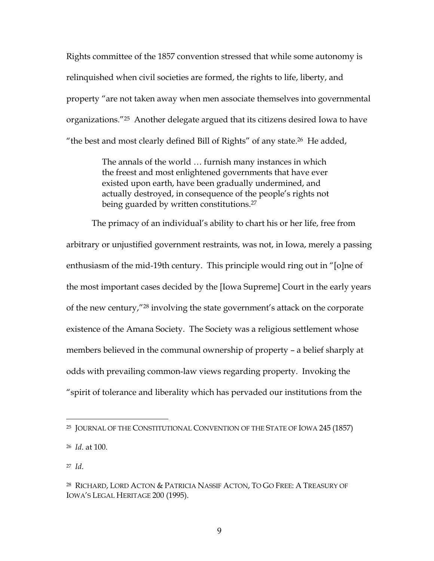Rights committee of the 1857 convention stressed that while some autonomy is relinquished when civil societies are formed, the rights to life, liberty, and property "are not taken away when men associate themselves into governmental organizations."<sup>25</sup> Another delegate argued that its citizens desired Iowa to have "the best and most clearly defined Bill of Rights" of any state.<sup>26</sup> He added,

> The annals of the world … furnish many instances in which the freest and most enlightened governments that have ever existed upon earth, have been gradually undermined, and actually destroyed, in consequence of the people's rights not being guarded by written constitutions.<sup>27</sup>

The primacy of an individual's ability to chart his or her life, free from arbitrary or unjustified government restraints, was not, in Iowa, merely a passing enthusiasm of the mid-19th century. This principle would ring out in "[o]ne of the most important cases decided by the [Iowa Supreme] Court in the early years of the new century,"<sup>28</sup> involving the state government's attack on the corporate existence of the Amana Society. The Society was a religious settlement whose members believed in the communal ownership of property – a belief sharply at odds with prevailing common-law views regarding property. Invoking the "spirit of tolerance and liberality which has pervaded our institutions from the

<sup>25</sup> JOURNAL OF THE CONSTITUTIONAL CONVENTION OF THE STATE OF IOWA 245 (1857)

<sup>26</sup> *Id*. at 100.

<sup>28</sup> RICHARD, LORD ACTON & PATRICIA NASSIF ACTON, TO GO FREE: A TREASURY OF IOWA'S LEGAL HERITAGE 200 (1995).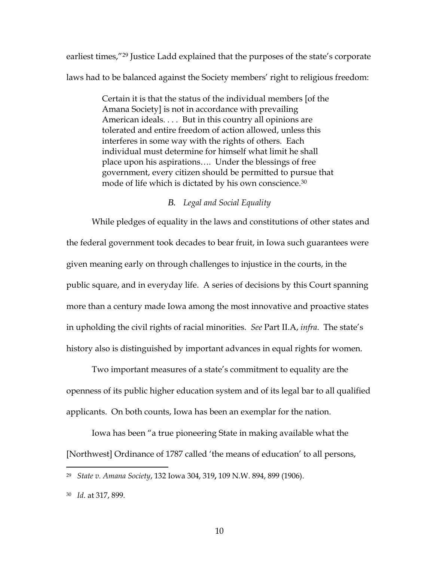earliest times,"<sup>29</sup> Justice Ladd explained that the purposes of the state's corporate laws had to be balanced against the Society members' right to religious freedom:

> Certain it is that the status of the individual members [of the Amana Society] is not in accordance with prevailing American ideals. . . . But in this country all opinions are tolerated and entire freedom of action allowed, unless this interferes in some way with the rights of others. Each individual must determine for himself what limit he shall place upon his aspirations…. Under the blessings of free government, every citizen should be permitted to pursue that mode of life which is dictated by his own conscience.<sup>30</sup>

#### *B. Legal and Social Equality*

While pledges of equality in the laws and constitutions of other states and the federal government took decades to bear fruit, in Iowa such guarantees were given meaning early on through challenges to injustice in the courts, in the public square, and in everyday life. A series of decisions by this Court spanning more than a century made Iowa among the most innovative and proactive states in upholding the civil rights of racial minorities. *See* Part II.A, *infra*. The state's history also is distinguished by important advances in equal rights for women.

Two important measures of a state's commitment to equality are the openness of its public higher education system and of its legal bar to all qualified applicants. On both counts, Iowa has been an exemplar for the nation.

Iowa has been "a true pioneering State in making available what the [Northwest] Ordinance of 1787 called 'the means of education' to all persons,

<sup>29</sup> *State v. Amana Society*, 132 Iowa 304, 319**,** 109 N.W. 894, 899 (1906).

<sup>30</sup> *Id*. at 317, 899.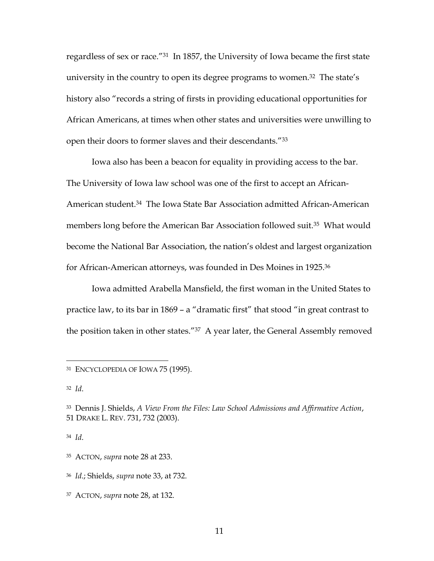regardless of sex or race."<sup>31</sup> In 1857, the University of Iowa became the first state university in the country to open its degree programs to women.<sup>32</sup> The state's history also "records a string of firsts in providing educational opportunities for African Americans, at times when other states and universities were unwilling to open their doors to former slaves and their descendants."<sup>33</sup>

Iowa also has been a beacon for equality in providing access to the bar. The University of Iowa law school was one of the first to accept an African-American student.<sup>34</sup> The Iowa State Bar Association admitted African-American members long before the American Bar Association followed suit.<sup>35</sup> What would become the National Bar Association, the nation's oldest and largest organization for African-American attorneys, was founded in Des Moines in 1925.<sup>36</sup>

Iowa admitted Arabella Mansfield, the first woman in the United States to practice law, to its bar in 1869 – a "dramatic first" that stood "in great contrast to the position taken in other states."<sup>37</sup> A year later, the General Assembly removed

<sup>&</sup>lt;sup>31</sup> ENCYCLOPEDIA OF IOWA 75 (1995).

<sup>32</sup> *Id*.

<sup>33</sup> Dennis J. Shields, *A View From the Files: Law School Admissions and Affirmative Action*, 51 DRAKE L. REV. 731, 732 (2003).

<sup>35</sup> ACTON, *supra* note 28 at 233.

<sup>36</sup> *Id*.; Shields, *supra* note 33, at 732.

<sup>37</sup> ACTON, *supra* note 28, at 132.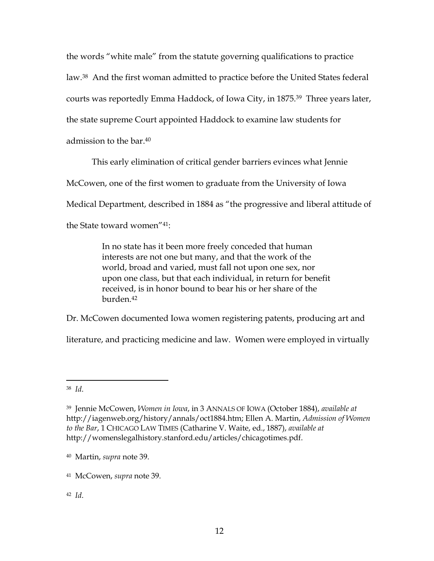the words "white male" from the statute governing qualifications to practice law.<sup>38</sup> And the first woman admitted to practice before the United States federal courts was reportedly Emma Haddock, of Iowa City, in 1875.<sup>39</sup> Three years later, the state supreme Court appointed Haddock to examine law students for admission to the bar.<sup>40</sup>

This early elimination of critical gender barriers evinces what Jennie

McCowen, one of the first women to graduate from the University of Iowa

Medical Department, described in 1884 as "the progressive and liberal attitude of

the State toward women"41:

In no state has it been more freely conceded that human interests are not one but many, and that the work of the world, broad and varied, must fall not upon one sex, nor upon one class, but that each individual, in return for benefit received, is in honor bound to bear his or her share of the burden.<sup>42</sup>

Dr. McCowen documented Iowa women registering patents, producing art and

literature, and practicing medicine and law. Women were employed in virtually

<sup>38</sup> *Id*.

<sup>39</sup> Jennie McCowen, *Women in Iowa*, in 3 ANNALS OF IOWA (October 1884), *available at* http://iagenweb.org/history/annals/oct1884.htm; Ellen A. Martin, *Admission of Women to the Bar*, 1 CHICAGO LAW TIMES (Catharine V. Waite, ed., 1887), *available at* http://womenslegalhistory.stanford.edu/articles/chicagotimes.pdf.

<sup>40</sup> Martin, *supra* note 39.

<sup>41</sup> McCowen, *supra* note 39.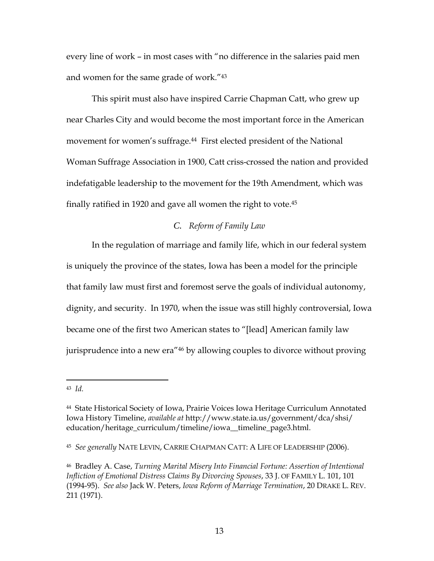every line of work – in most cases with "no difference in the salaries paid men and women for the same grade of work."<sup>43</sup>

This spirit must also have inspired Carrie Chapman Catt, who grew up near Charles City and would become the most important force in the American movement for women's suffrage.<sup>44</sup> First elected president of the National Woman Suffrage Association in 1900, Catt criss-crossed the nation and provided indefatigable leadership to the movement for the 19th Amendment, which was finally ratified in 1920 and gave all women the right to vote.<sup>45</sup>

### *C. Reform of Family Law*

In the regulation of marriage and family life, which in our federal system is uniquely the province of the states, Iowa has been a model for the principle that family law must first and foremost serve the goals of individual autonomy, dignity, and security. In 1970, when the issue was still highly controversial, Iowa became one of the first two American states to "[lead] American family law jurisprudence into a new era"<sup>46</sup> by allowing couples to divorce without proving

<sup>43</sup> *Id.*

<sup>44</sup> State Historical Society of Iowa, Prairie Voices Iowa Heritage Curriculum Annotated Iowa History Timeline, *available at* http://www.state.ia.us/government/dca/shsi/ education/heritage\_curriculum/timeline/iowa\_\_timeline\_page3.html.

<sup>45</sup> *See generally* NATE LEVIN, CARRIE CHAPMAN CATT: A LIFE OF LEADERSHIP (2006).

<sup>46</sup> Bradley A. Case, *Turning Marital Misery Into Financial Fortune: Assertion of Intentional Infliction of Emotional Distress Claims By Divorcing Spouses*, 33 J. OF FAMILY L. 101, 101 (1994-95). *See also* Jack W. Peters, *Iowa Reform of Marriage Termination*, 20 DRAKE L. REV. 211 (1971).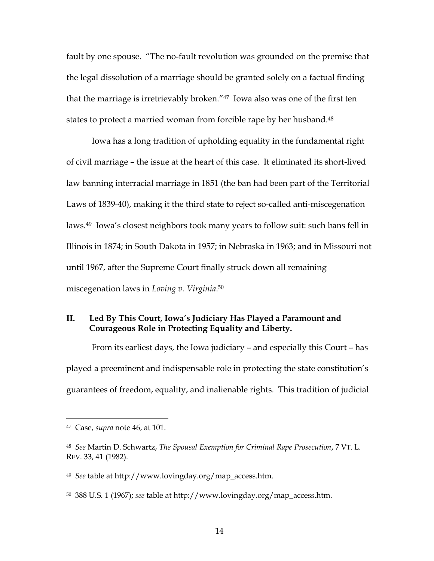fault by one spouse. "The no-fault revolution was grounded on the premise that the legal dissolution of a marriage should be granted solely on a factual finding that the marriage is irretrievably broken."<sup>47</sup> Iowa also was one of the first ten states to protect a married woman from forcible rape by her husband.<sup>48</sup>

Iowa has a long tradition of upholding equality in the fundamental right of civil marriage – the issue at the heart of this case. It eliminated its short-lived law banning interracial marriage in 1851 (the ban had been part of the Territorial Laws of 1839-40), making it the third state to reject so-called anti-miscegenation laws.<sup>49</sup> Iowa's closest neighbors took many years to follow suit: such bans fell in Illinois in 1874; in South Dakota in 1957; in Nebraska in 1963; and in Missouri not until 1967, after the Supreme Court finally struck down all remaining miscegenation laws in *Loving v. Virginia*. 50

## **II. Led By This Court, Iowa's Judiciary Has Played a Paramount and Courageous Role in Protecting Equality and Liberty.**

From its earliest days, the Iowa judiciary – and especially this Court – has played a preeminent and indispensable role in protecting the state constitution's guarantees of freedom, equality, and inalienable rights. This tradition of judicial

<sup>47</sup> Case, *supra* note 46, at 101.

<sup>48</sup> *See* Martin D. Schwartz, *The Spousal Exemption for Criminal Rape Prosecution*, 7 VT. L. REV. 33, 41 (1982).

<sup>49</sup> *See* table at http://www.lovingday.org/map\_access.htm.

<sup>50</sup> 388 U.S. 1 (1967); *see* table at http://www.lovingday.org/map\_access.htm.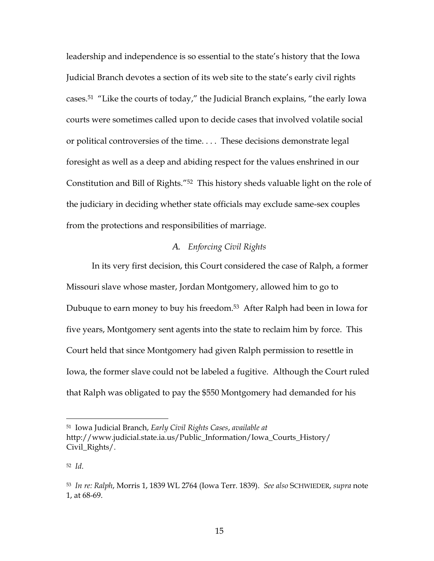leadership and independence is so essential to the state's history that the Iowa Judicial Branch devotes a section of its web site to the state's early civil rights cases.<sup>51</sup> "Like the courts of today," the Judicial Branch explains, "the early Iowa courts were sometimes called upon to decide cases that involved volatile social or political controversies of the time. . . . These decisions demonstrate legal foresight as well as a deep and abiding respect for the values enshrined in our Constitution and Bill of Rights."<sup>52</sup> This history sheds valuable light on the role of the judiciary in deciding whether state officials may exclude same-sex couples from the protections and responsibilities of marriage.

#### *A. Enforcing Civil Rights*

In its very first decision, this Court considered the case of Ralph, a former Missouri slave whose master, Jordan Montgomery, allowed him to go to Dubuque to earn money to buy his freedom.<sup>53</sup> After Ralph had been in Iowa for five years, Montgomery sent agents into the state to reclaim him by force. This Court held that since Montgomery had given Ralph permission to resettle in Iowa, the former slave could not be labeled a fugitive. Although the Court ruled that Ralph was obligated to pay the \$550 Montgomery had demanded for his

<sup>51</sup> Iowa Judicial Branch, *Early Civil Rights Cases*, *available at* http://www.judicial.state.ia.us/Public\_Information/Iowa\_Courts\_History/ Civil\_Rights/.

<sup>52</sup> *Id*.

<sup>53</sup> *In re: Ralph*, Morris 1, 1839 WL 2764 (Iowa Terr. 1839). *See also* SCHWIEDER, *supra* note 1, at 68-69.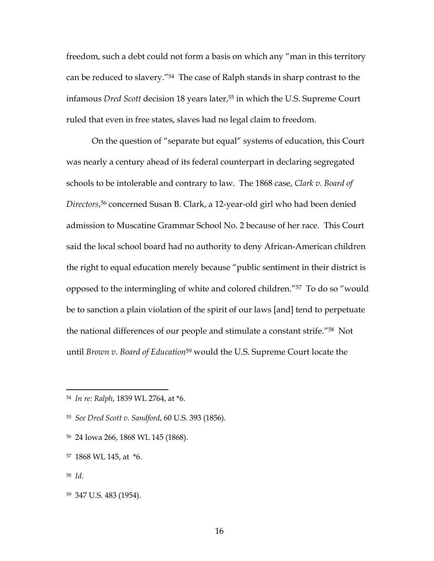freedom, such a debt could not form a basis on which any "man in this territory can be reduced to slavery."<sup>54</sup> The case of Ralph stands in sharp contrast to the infamous *Dred Scott* decision 18 years later,<sup>55</sup> in which the U.S. Supreme Court ruled that even in free states, slaves had no legal claim to freedom.

On the question of "separate but equal" systems of education, this Court was nearly a century ahead of its federal counterpart in declaring segregated schools to be intolerable and contrary to law. The 1868 case, *Clark v. Board of Directors*, <sup>56</sup> concerned Susan B. Clark, a 12-year-old girl who had been denied admission to Muscatine Grammar School No. 2 because of her race. This Court said the local school board had no authority to deny African-American children the right to equal education merely because "public sentiment in their district is opposed to the intermingling of white and colored children."<sup>57</sup> To do so "would be to sanction a plain violation of the spirit of our laws [and] tend to perpetuate the national differences of our people and stimulate a constant strife."<sup>58</sup> Not until *Brown v. Board of Education*<sup>59</sup> would the U.S. Supreme Court locate the

<sup>56</sup> 24 Iowa 266, 1868 WL 145 (1868).

<sup>54</sup> *In re: Ralph*, 1839 WL 2764, at \*6.

<sup>55</sup> *See Dred Scott v. Sandford*, 60 U.S. 393 (1856).

<sup>57</sup> 1868 WL 145, at \*6.

<sup>58</sup> *Id*.

<sup>59</sup> 347 U.S. 483 (1954).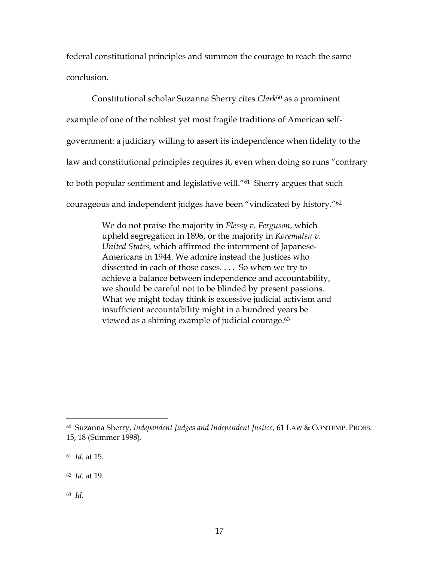federal constitutional principles and summon the courage to reach the same conclusion.

Constitutional scholar Suzanna Sherry cites *Clark*<sup>60</sup> as a prominent example of one of the noblest yet most fragile traditions of American selfgovernment: a judiciary willing to assert its independence when fidelity to the law and constitutional principles requires it, even when doing so runs "contrary to both popular sentiment and legislative will."<sup>61</sup> Sherry argues that such courageous and independent judges have been "vindicated by history."<sup>62</sup>

> We do not praise the majority in *Plessy v. Ferguson*, which upheld segregation in 1896, or the majority in *Korematsu v. United States*, which affirmed the internment of Japanese-Americans in 1944. We admire instead the Justices who dissented in each of those cases. . . . So when we try to achieve a balance between independence and accountability, we should be careful not to be blinded by present passions. What we might today think is excessive judicial activism and insufficient accountability might in a hundred years be viewed as a shining example of judicial courage.<sup>63</sup>

<sup>60</sup> Suzanna Sherry, *Independent Judges and Independent Justice*, 61 LAW & CONTEMP. PROBS. 15, 18 (Summer 1998).

<sup>61</sup> *Id.* at 15.

<sup>62</sup> *Id.* at 19.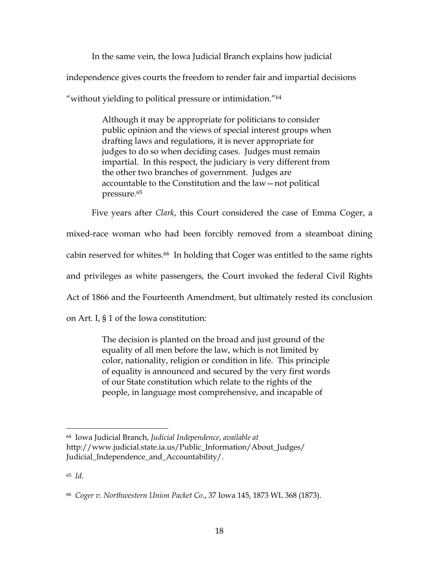In the same vein, the Iowa Judicial Branch explains how judicial independence gives courts the freedom to render fair and impartial decisions "without yielding to political pressure or intimidation."<sup>64</sup>

> Although it may be appropriate for politicians to consider public opinion and the views of special interest groups when drafting laws and regulations, it is never appropriate for judges to do so when deciding cases. Judges must remain impartial. In this respect, the judiciary is very different from the other two branches of government. Judges are accountable to the Constitution and the law—not political pressure.<sup>65</sup>

Five years after *Clark*, this Court considered the case of Emma Coger, a mixed-race woman who had been forcibly removed from a steamboat dining cabin reserved for whites.<sup>66</sup> In holding that Coger was entitled to the same rights and privileges as white passengers, the Court invoked the federal Civil Rights Act of 1866 and the Fourteenth Amendment, but ultimately rested its conclusion on Art. I, § 1 of the Iowa constitution:

> The decision is planted on the broad and just ground of the equality of all men before the law, which is not limited by color, nationality, religion or condition in life. This principle of equality is announced and secured by the very first words of our State constitution which relate to the rights of the people, in language most comprehensive, and incapable of

<sup>64</sup> Iowa Judicial Branch, *Judicial Independence*, *available at* http://www.judicial.state.ia.us/Public\_Information/About\_Judges/ Judicial\_Independence\_and\_Accountability/.

<sup>66</sup> *Coger v. Northwestern Union Packet Co*., 37 Iowa 145, 1873 WL 368 (1873).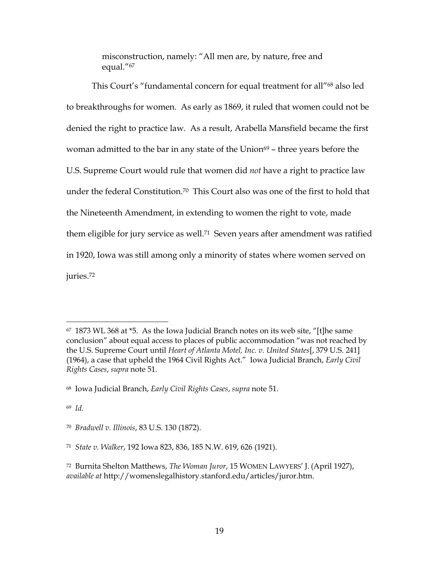misconstruction, namely: "All men are, by nature, free and equal."<sup>67</sup>

This Court's "fundamental concern for equal treatment for all"<sup>68</sup> also led to breakthroughs for women. As early as 1869, it ruled that women could not be denied the right to practice law. As a result, Arabella Mansfield became the first woman admitted to the bar in any state of the Union<sup>69</sup> – three years before the U.S. Supreme Court would rule that women did *not* have a right to practice law under the federal Constitution.<sup>70</sup> This Court also was one of the first to hold that the Nineteenth Amendment, in extending to women the right to vote, made them eligible for jury service as well.<sup>71</sup> Seven years after amendment was ratified in 1920, Iowa was still among only a minority of states where women served on juries.<sup>72</sup>

 $67$  1873 WL 368 at  $*5$ . As the Iowa Judicial Branch notes on its web site, "[t]he same conclusion" about equal access to places of public accommodation "was not reached by the U.S. Supreme Court until *Heart of Atlanta Motel, Inc. v. United States*[, 379 U.S. 241] (1964), a case that upheld the 1964 Civil Rights Act." Iowa Judicial Branch, *Early Civil Rights Cases*, *supra* note 51.

<sup>68</sup> Iowa Judicial Branch, *Early Civil Rights Cases*, *supra* note 51.

<sup>70</sup> *Bradwell v. Illinois*, 83 U.S. 130 (1872).

<sup>71</sup> *State v. Walker*, 192 Iowa 823, 836, 185 N.W. 619, 626 (1921).

<sup>72</sup> Burnita Shelton Matthews, *The Woman Juror*, 15 WOMEN LAWYERS' J. (April 1927), *available at* http://womenslegalhistory.stanford.edu/articles/juror.htm.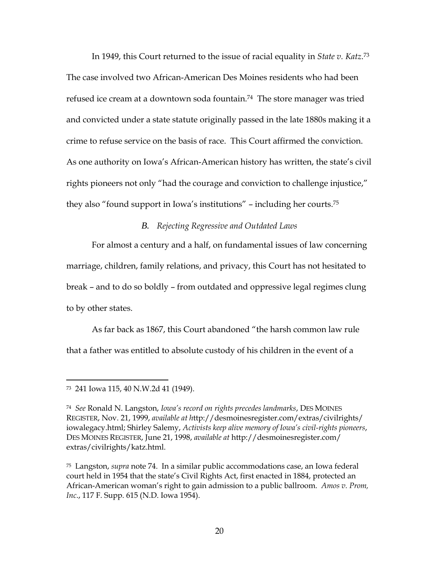In 1949, this Court returned to the issue of racial equality in *State v. Katz*. 73 The case involved two African-American Des Moines residents who had been refused ice cream at a downtown soda fountain.<sup>74</sup> The store manager was tried and convicted under a state statute originally passed in the late 1880s making it a crime to refuse service on the basis of race. This Court affirmed the conviction. As one authority on Iowa's African-American history has written, the state's civil rights pioneers not only "had the courage and conviction to challenge injustice," they also "found support in Iowa's institutions" – including her courts.<sup>75</sup>

#### *B. Rejecting Regressive and Outdated Laws*

For almost a century and a half, on fundamental issues of law concerning marriage, children, family relations, and privacy, this Court has not hesitated to break – and to do so boldly – from outdated and oppressive legal regimes clung to by other states.

As far back as 1867, this Court abandoned "the harsh common law rule that a father was entitled to absolute custody of his children in the event of a

<sup>73</sup> 241 Iowa 115, 40 N.W.2d 41 (1949).

<sup>74</sup> *See* Ronald N. Langston, *Iowa's record on rights precedes landmarks*, DES MOINES REGISTER, Nov. 21, 1999, *available at h*ttp://desmoinesregister.com/extras/civilrights/ iowalegacy.html; Shirley Salemy, *Activists keep alive memory of Iowa's civil-rights pioneers*, DES MOINES REGISTER, June 21, 1998, *available at* http://desmoinesregister.com/ extras/civilrights/katz.html.

<sup>75</sup> Langston, *supra* note 74. In a similar public accommodations case, an Iowa federal court held in 1954 that the state's Civil Rights Act, first enacted in 1884, protected an African-American woman's right to gain admission to a public ballroom. *Amos v. Prom, Inc*., 117 F. Supp. 615 (N.D. Iowa 1954).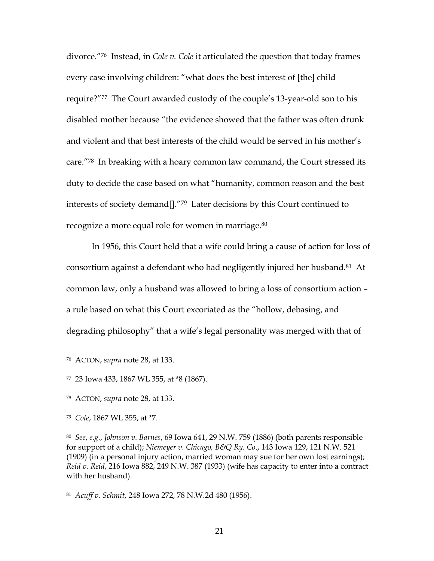divorce."<sup>76</sup> Instead, in *Cole v. Cole* it articulated the question that today frames every case involving children: "what does the best interest of [the] child require?"<sup>77</sup> The Court awarded custody of the couple's 13-year-old son to his disabled mother because "the evidence showed that the father was often drunk and violent and that best interests of the child would be served in his mother's care."<sup>78</sup> In breaking with a hoary common law command, the Court stressed its duty to decide the case based on what "humanity, common reason and the best interests of society demand[]."<sup>79</sup> Later decisions by this Court continued to recognize a more equal role for women in marriage.<sup>80</sup>

In 1956, this Court held that a wife could bring a cause of action for loss of consortium against a defendant who had negligently injured her husband.<sup>81</sup> At common law, only a husband was allowed to bring a loss of consortium action – a rule based on what this Court excoriated as the "hollow, debasing, and degrading philosophy" that a wife's legal personality was merged with that of

<sup>79</sup> *Cole*, 1867 WL 355, at \*7.

<sup>76</sup> ACTON, *supra* note 28, at 133.

<sup>77</sup> 23 Iowa 433, 1867 WL 355, at \*8 (1867).

<sup>78</sup> ACTON, *supra* note 28, at 133.

<sup>80</sup> *See*, *e.g.*, *Johnson v. Barnes*, 69 Iowa 641, 29 N.W. 759 (1886) (both parents responsible for support of a child); *Niemeyer v. Chicago, B&Q Ry. Co*., 143 Iowa 129, 121 N.W. 521 (1909) (in a personal injury action, married woman may sue for her own lost earnings); *Reid v. Reid*, 216 Iowa 882, 249 N.W. 387 (1933) (wife has capacity to enter into a contract with her husband).

<sup>81</sup> *Acuff v. Schmit*, 248 Iowa 272, 78 N.W.2d 480 (1956).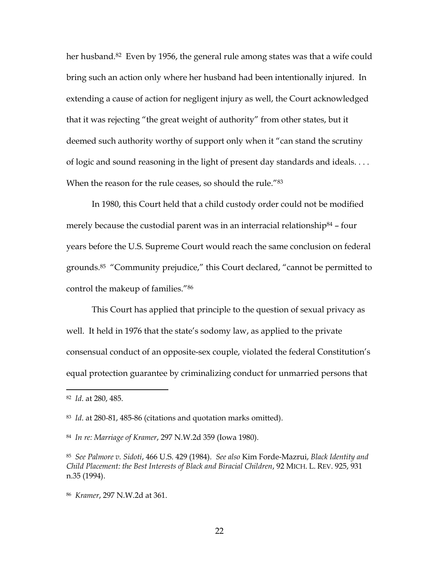her husband.<sup>82</sup> Even by 1956, the general rule among states was that a wife could bring such an action only where her husband had been intentionally injured. In extending a cause of action for negligent injury as well, the Court acknowledged that it was rejecting "the great weight of authority" from other states, but it deemed such authority worthy of support only when it "can stand the scrutiny of logic and sound reasoning in the light of present day standards and ideals. . . . When the reason for the rule ceases, so should the rule."83

In 1980, this Court held that a child custody order could not be modified merely because the custodial parent was in an interracial relationship<sup>84</sup> – four years before the U.S. Supreme Court would reach the same conclusion on federal grounds.<sup>85</sup> "Community prejudice," this Court declared, "cannot be permitted to control the makeup of families."<sup>86</sup>

This Court has applied that principle to the question of sexual privacy as well. It held in 1976 that the state's sodomy law, as applied to the private consensual conduct of an opposite-sex couple, violated the federal Constitution's equal protection guarantee by criminalizing conduct for unmarried persons that

22

<sup>82</sup> *Id*. at 280, 485.

<sup>83</sup> *Id*. at 280-81, 485-86 (citations and quotation marks omitted).

<sup>84</sup> *In re: Marriage of Kramer*, 297 N.W.2d 359 (Iowa 1980).

<sup>85</sup> *See Palmore v. Sidoti*, 466 U.S. 429 (1984). *See also* Kim Forde-Mazrui, *Black Identity and Child Placement: the Best Interests of Black and Biracial Children*, 92 MICH. L. REV. 925, 931 n.35 (1994).

<sup>86</sup> *Kramer*, 297 N.W.2d at 361.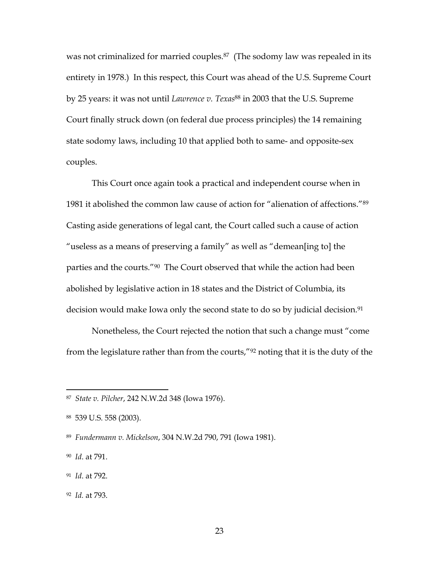was not criminalized for married couples.<sup>87</sup> (The sodomy law was repealed in its entirety in 1978.) In this respect, this Court was ahead of the U.S. Supreme Court by 25 years: it was not until *Lawrence v. Texas*<sup>88</sup> in 2003 that the U.S. Supreme Court finally struck down (on federal due process principles) the 14 remaining state sodomy laws, including 10 that applied both to same- and opposite-sex couples.

This Court once again took a practical and independent course when in 1981 it abolished the common law cause of action for "alienation of affections."<sup>89</sup> Casting aside generations of legal cant, the Court called such a cause of action "useless as a means of preserving a family" as well as "demean[ing to] the parties and the courts."<sup>90</sup> The Court observed that while the action had been abolished by legislative action in 18 states and the District of Columbia, its decision would make Iowa only the second state to do so by judicial decision.<sup>91</sup>

Nonetheless, the Court rejected the notion that such a change must "come from the legislature rather than from the courts,"<sup>92</sup> noting that it is the duty of the

<sup>92</sup> *Id.* at 793.

<sup>87</sup> *State v. Pilcher*, 242 N.W.2d 348 (Iowa 1976).

<sup>88</sup> 539 U.S. 558 (2003).

<sup>89</sup> *Fundermann v. Mickelson*, 304 N.W.2d 790, 791 (Iowa 1981).

<sup>90</sup> *Id*. at 791.

<sup>91</sup> *Id*. at 792.